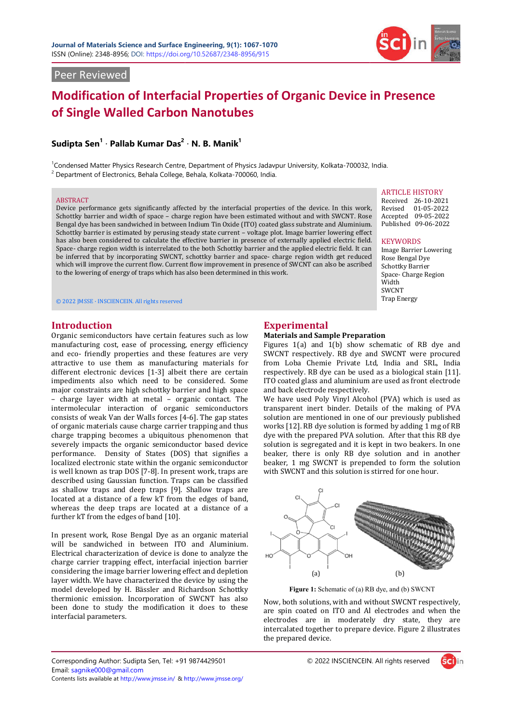

Received 26-10-2021 Revised 01-05-2022 Accepted 09-05-2022 Published 09-06-2022

Image Barrier Lowering Rose Bengal Dye Schottky Barrier Space- Charge Region

**KEYWORDS** 

Width SWCNT Trap Energy

# Peer Reviewed

# **Modification of Interfacial Properties of Organic Device in Presence of Single Walled Carbon Nanotubes**

# **Sudipta Sen1** · **Pallab Kumar Das<sup>2</sup>** · **N. B. Manik1**

<sup>1</sup>Condensed Matter Physics Research Centre, Department of Physics Jadavpur University, Kolkata-700032, India.  $2$  Department of Electronics, Behala College, Behala, Kolkata-700060, India.

#### ABSTRACT

Device performance gets significantly affected by the interfacial properties of the device. In this work, Schottky barrier and width of space – charge region have been estimated without and with SWCNT. Rose Bengal dye has been sandwiched in between Indium Tin Oxide (ITO) coated glass substrate and Aluminium. Schottky barrier is estimated by perusing steady state current - voltage plot. Image barrier lowering effect has also been considered to calculate the effective barrier in presence of externally applied electric field. Space- charge region width is interrelated to the both Schottky barrier and the applied electric field. It can be inferred that by incorporating SWCNT, schottky barrier and space- charge region width get reduced which will improve the current flow. Current flow improvement in presence of SWCNT can also be ascribed to the lowering of energy of traps which has also been determined in this work. ABSTRACT<br>
Device performance gets significantly affected by the interfacial properties of the device. In this work,<br>
Schottky barrier and width of space – charge region have been estimated without and with SWCNT. Rose<br>
Ben

© 2022 JMSSE · INSCIENCEIN. All rights reserved

# **Introduction**

Organic semiconductors have certain features such as low manufacturing cost, ease of processing, energy efficiency and eco- friendly properties and these features are very attractive to use them as manufacturing materials for different electronic devices [1-3] albeit there are certain impediments also which need to be considered. Some major constraints are high schottky barrier and high space – charge layer width at metal – organic contact. The intermolecular interaction of organic semiconductors consists of weak Van der Walls forces [4 of organic materials cause charge carrier trapping and thus charge trapping becomes a ubiquitous phenomenon that severely impacts the organic semiconductor based device performance. Density of States (DOS) that signifies a localized electronic state within the organic semiconductor is well known as trap DOS [7-8]. In present work, traps are described using Gaussian function. Traps can be classified as shallow traps and deep traps [9]. Shallow traps are located at a distance of a few kT from the edges of band, whereas the deep traps are located at a distance of a further kT from the edges of band [10]. 3] albeit there are certain<br>1 to be considered. Some<br>ttky barrier and high space<br>al – organic contact. The<br>0 organic semiconductors<br>forces [4-6]. The gap states apping becomes a ubiquitous phenomenon that<br>impacts the organic semiconductor based device<br>nce. Density of States (DOS) that signifies a<br>electronic state within the organic semiconductor<br>own as trap DOS [7-8]. In present w **Experimental**<br> **Experimental**<br>
of processing, energy efficiency<br>
of processing, energy efficiency<br>
lies and these features are very<br>
SWCNT respectively.<br>
Its manufacturing materials for<br>
from Loba Chemie<br>
its SI-3] albeit **Interfacial Properties of Organic Device in Presence<br>Carbon Nanotubes<br>
unar Das<sup>2</sup> - N. B. Manik<sup>1</sup><br>
unar Das<sup>2</sup> - N. B. Manik<sup>1</sup><br>
unar Das<sup>2</sup> - N. B. Manik<sup>1</sup><br>
besturb College, Schule, Schule and Physics Indiese Universi** 

In present work, Rose Bengal Dye as an organic material will be sandwiched in between ITO and Aluminium. Electrical characterization of device is done to analyze the charge carrier trapping effect, interfacial injection barrier considering the image barrier lowering effect and depletion layer width. We have characterized the device by using the model developed by H. Bӓssler and Richardson Schottky thermionic emission. Incorporation of SWCNT has also been done to study the modification it does to these interfacial parameters.

#### **Materials and Sample Preparation**

Figures 1(a) and 1(b) show schematic of RB dye and SWCNT respectively. RB dye and SWCNT were procured from Loba Chemie Private Ltd, India and SRL, India respectively. RB dye can be used as a biological stain [11]. ITO coated glass and aluminium are used as front electrode and back electrode respectively. Figures 1(a) and 1(b) show schematic of RB dye and SWCNT respectively. RB dye and SWCNT were procured from Loba Chemie Private Ltd, India and SRL, India respectively. RB dye can be used as a biological stain [11]. ITO coat

We have used Poly Vinyl Alcohol (PVA) which is used as solution are mentioned in one of our previously published works [12]. RB dye solution is formed by adding 1 mg of RB dye with the prepared PVA solution. After that this RB dye solution is segregated and it is kept in two beakers. In one beaker, there is only RB dye solution and in another beaker, 1 mg SWCNT is prepended to form the solution with SWCNT and this solution is stirred for one hour.



**Figure 1:** Schematic of (a) RB dye, and (b) SWCNT

Now, both solutions, with and without SWCNT respectively, are spin coated on ITO and Al electrodes and when the electrodes are in moderately dry state, they are intercalated together to prepare device. Figure 2 illustrates the prepared device. Now, both solutions, with and without SWCNT respectively, are spin coated on ITO and Al electrodes and when the electrodes are in moderately dry state, they are intercalated together to prepare device. Figure 2 illustrates

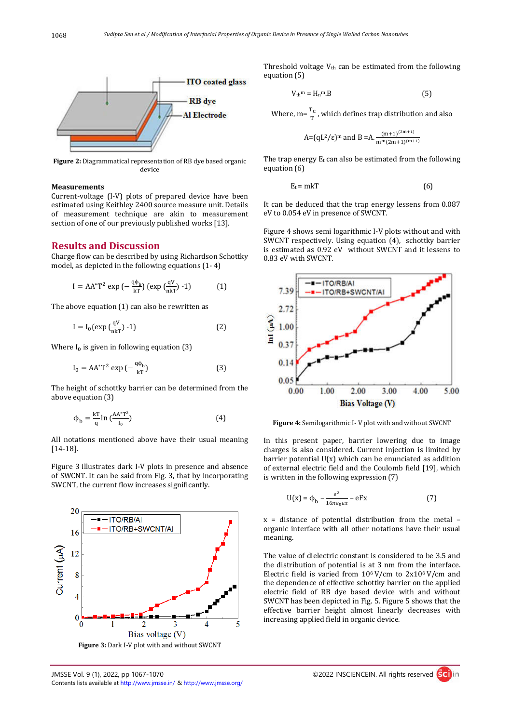

**Figure 2:** Diagrammatical representation of RB dye based organic device

#### **Measurements**

Current-voltage (I-V) plots of prepared device have been estimated using Keithley 2400 source measure unit. Details of measurement technique are akin to measurement section of one of our previously published works [13].

#### **Results and Discussion**

Charge flow can be described by using Richardson Schottky model, as depicted in the following equations (1- 4)

$$
I = AA^*T^2 \exp\left(-\frac{q\phi_b}{kT}\right) \left(\exp\left(\frac{qV}{nkT}\right) - 1\right) \tag{1}
$$

The above equation (1) can also be rewritten as

$$
I = I_0(\exp\left(\frac{qV}{nkT}\right) - 1)
$$
 (2)

Where  $I_0$  is given in following equation (3)

$$
I_0 = AA^*T^2 \exp\left(-\frac{q\phi_b}{kT}\right) \tag{3}
$$

The height of schottky barrier can be determined from the above equation (3)

$$
\Phi_{\mathbf{b}} = \frac{\mathbf{k} \mathbf{T}}{\mathbf{q}} \ln \left( \frac{\mathbf{A} \mathbf{A}^* \mathbf{T}^2}{\mathbf{I}_0} \right) \tag{4}
$$

All notations mentioned above have their usual meaning [14-18].

Figure 3 illustrates dark I-V plots in presence and absence of SWCNT. It can be said from Fig. 3, that by incorporating SWCNT, the current flow increases significantly.



Threshold voltage  $V_{th}$  can be estimated from the following equation (5)

$$
V_{\rm th}{}^{\rm m} = H_{\rm n}{}^{\rm m} . B \tag{5}
$$

Where, m= $\frac{T_C}{T}$ , which defines trap distribution and also

A=(qL<sup>2</sup>/\varepsilon)<sup>m</sup> and B =A. 
$$
\frac{(m+1)^{(2m+1)}}{m^m (2m+1)^{(m+1)}}
$$

The trap energy  $E_t$  can also be estimated from the following equation (6)

$$
E_t = m kT \tag{6}
$$

It can be deduced that the trap energy lessens from 0.087 eV to 0.054 eV in presence of SWCNT.

Figure 4 shows semi logarithmic I-V plots without and with SWCNT respectively. Using equation (4), schottky barrier is estimated as 0.92 eV without SWCNT and it lessens to 0.83 eV with SWCNT.



**Figure 4:** Semilogarithmic I- V plot with and without SWCNT

In this present paper, barrier lowering due to image charges is also considered. Current injection is limited by barrier potential U(x) which can be enunciated as addition of external electric field and the Coulomb field [19], which is written in the following expression (7)

$$
U(x) = \phi_b - \frac{e^2}{16\pi\varepsilon_0 \varepsilon x} - eFx
$$
 (7)

x = distance of potential distribution from the metal – organic interface with all other notations have their usual meaning.

The value of dielectric constant is considered to be 3.5 and the distribution of potential is at 3 nm from the interface. Electric field is varied from  $10^6$  V/cm to  $2x10^6$  V/cm and the dependence of effective schottky barrier on the applied electric field of RB dye based device with and without SWCNT has been depicted in Fig. 5. Figure 5 shows that the effective barrier height almost linearly decreases with increasing applied field in organic device.

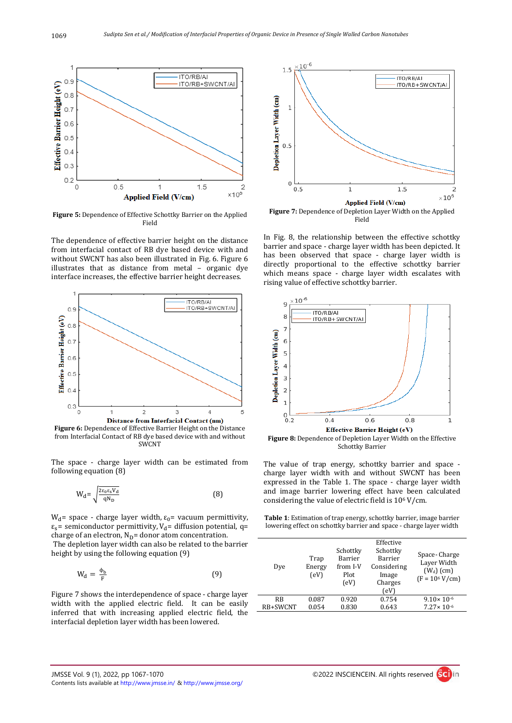

**Figure 5:** Dependence of Effective Schottky Barrier on the Applied Field

The dependence of effective barrier height on the distance from interfacial contact of RB dye based device with and without SWCNT has also been illustrated in Fig. 6. Figure 6 illustrates that as distance from metal – organic dye interface increases, the effective barrier height decreases.



**Figure 6:** Dependence of Effective Barrier Height on the Distance from Interfacial Contact of RB dye based device with and without SWCNT

The space - charge layer width can be estimated from following equation (8)

$$
W_{\rm d} = \sqrt{\frac{2\varepsilon_0 \varepsilon_{\rm s} V_{\rm d}}{qN_{\rm D}}} \tag{8}
$$

 $W<sub>d</sub>$  = space - charge layer width, ε<sub>0</sub> = vacuum permittivity,  $\varepsilon_{s}$ = semiconductor permittivity, V<sub>d</sub>= diffusion potential, q= charge of an electron,  $N_D$ = donor atom concentration. The depletion layer width can also be related to the barrier

height by using the following equation (9)

$$
W_d = \frac{\Phi_b}{F}
$$
 (9)

Figure 7 shows the interdependence of space - charge layer width with the applied electric field. It can be easily inferred that with increasing applied electric field, the interfacial depletion layer width has been lowered.



Field

In Fig. 8, the relationship between the effective schottky barrier and space - charge layer width has been depicted. It has been observed that space - charge layer width is directly proportional to the effective schottky barrier which means space - charge layer width escalates with rising value of effective schottky barrier.



**Figure 8:** Dependence of Depletion Layer Width on the Effective Schottky Barrier

The value of trap energy, schottky barrier and space charge layer width with and without SWCNT has been expressed in the Table 1. The space - charge layer width and image barrier lowering effect have been calculated considering the value of electric field is 106 V/cm.

**Table 1**: Estimation of trap energy, schottky barrier, image barrier lowering effect on schottky barrier and space - charge layer width

| Dye       | Trap<br>Energy<br>(eV) | Schottky<br>Barrier<br>from I-V<br>Plot<br>(eV) | Schottky<br>Barrier<br>Considering<br>Image<br>Charges<br>(eV) | Space-Charge<br>Layer Width<br>$(W_d)$ (cm)<br>$(F = 10^6 V/cm)$ |
|-----------|------------------------|-------------------------------------------------|----------------------------------------------------------------|------------------------------------------------------------------|
| <b>RB</b> | 0.087                  | 0.920                                           | 0.754                                                          | $9.10 \times 10^{-6}$                                            |
| RB+SWCNT  | 0.054                  | 0.830                                           | 0.643                                                          | $7.27 \times 10^{-6}$                                            |